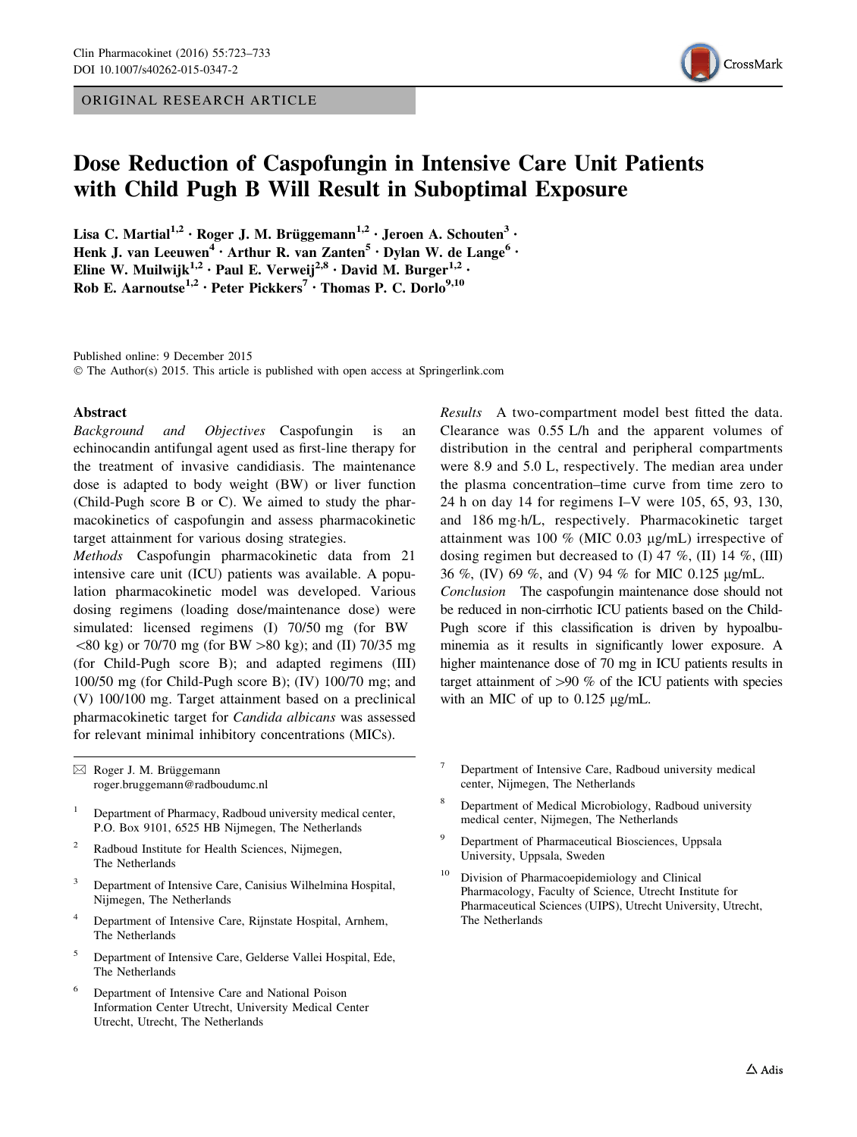ORIGINAL RESEARCH ARTICLE



# Dose Reduction of Caspofungin in Intensive Care Unit Patients with Child Pugh B Will Result in Suboptimal Exposure

Lisa C. Martial<sup>1,2</sup> • Roger J. M. Brüggemann<sup>1,2</sup> • Jeroen A. Schouten<sup>3</sup> • Henk J. van Leeuwen<sup>4</sup> · Arthur R. van Zanten<sup>5</sup> · Dylan W. de Lange<sup>6</sup> · Eline W. Muilwijk<sup>1,2</sup> · Paul E. Verweij<sup>2,8</sup> · David M. Burger<sup>1,2</sup> · Rob E. Aarnoutse<sup>1,2</sup> · Peter Pickkers<sup>7</sup> · Thomas P. C. Dorlo<sup>9,10</sup>

Published online: 9 December 2015 © The Author(s) 2015. This article is published with open access at Springerlink.com

### Abstract

Background and Objectives Caspofungin is an echinocandin antifungal agent used as first-line therapy for the treatment of invasive candidiasis. The maintenance dose is adapted to body weight (BW) or liver function (Child-Pugh score B or C). We aimed to study the pharmacokinetics of caspofungin and assess pharmacokinetic target attainment for various dosing strategies.

Methods Caspofungin pharmacokinetic data from 21 intensive care unit (ICU) patients was available. A population pharmacokinetic model was developed. Various dosing regimens (loading dose/maintenance dose) were simulated: licensed regimens (I) 70/50 mg (for BW  $\&$  80 kg) or 70/70 mg (for BW  $>80$  kg); and (II) 70/35 mg (for Child-Pugh score B); and adapted regimens (III) 100/50 mg (for Child-Pugh score B); (IV) 100/70 mg; and (V) 100/100 mg. Target attainment based on a preclinical pharmacokinetic target for Candida albicans was assessed for relevant minimal inhibitory concentrations (MICs).

Results A two-compartment model best fitted the data. Clearance was 0.55 L/h and the apparent volumes of distribution in the central and peripheral compartments were 8.9 and 5.0 L, respectively. The median area under the plasma concentration–time curve from time zero to 24 h on day 14 for regimens I–V were 105, 65, 93, 130, and 186 mg-h/L, respectively. Pharmacokinetic target attainment was 100  $%$  (MIC 0.03 µg/mL) irrespective of dosing regimen but decreased to (I) 47 %, (II) 14 %, (III) 36 %, (IV) 69 %, and (V) 94 % for MIC 0.125 lg/mL. Conclusion The caspofungin maintenance dose should not be reduced in non-cirrhotic ICU patients based on the Child-Pugh score if this classification is driven by hypoalbuminemia as it results in significantly lower exposure. A higher maintenance dose of 70 mg in ICU patients results in target attainment of  $>90\%$  of the ICU patients with species with an MIC of up to  $0.125 \mu g/mL$ .

 $\boxtimes$  Roger J. M. Brüggemann roger.bruggemann@radboudumc.nl

- <sup>1</sup> Department of Pharmacy, Radboud university medical center, P.O. Box 9101, 6525 HB Nijmegen, The Netherlands
- <sup>2</sup> Radboud Institute for Health Sciences, Nijmegen, The Netherlands
- <sup>3</sup> Department of Intensive Care, Canisius Wilhelmina Hospital, Nijmegen, The Netherlands
- <sup>4</sup> Department of Intensive Care, Rijnstate Hospital, Arnhem, The Netherlands
- <sup>5</sup> Department of Intensive Care, Gelderse Vallei Hospital, Ede, The Netherlands
- <sup>6</sup> Department of Intensive Care and National Poison Information Center Utrecht, University Medical Center Utrecht, Utrecht, The Netherlands
- <sup>7</sup> Department of Intensive Care, Radboud university medical center, Nijmegen, The Netherlands
- <sup>8</sup> Department of Medical Microbiology, Radboud university medical center, Nijmegen, The Netherlands
- Department of Pharmaceutical Biosciences, Uppsala University, Uppsala, Sweden
- <sup>10</sup> Division of Pharmacoepidemiology and Clinical Pharmacology, Faculty of Science, Utrecht Institute for Pharmaceutical Sciences (UIPS), Utrecht University, Utrecht, The Netherlands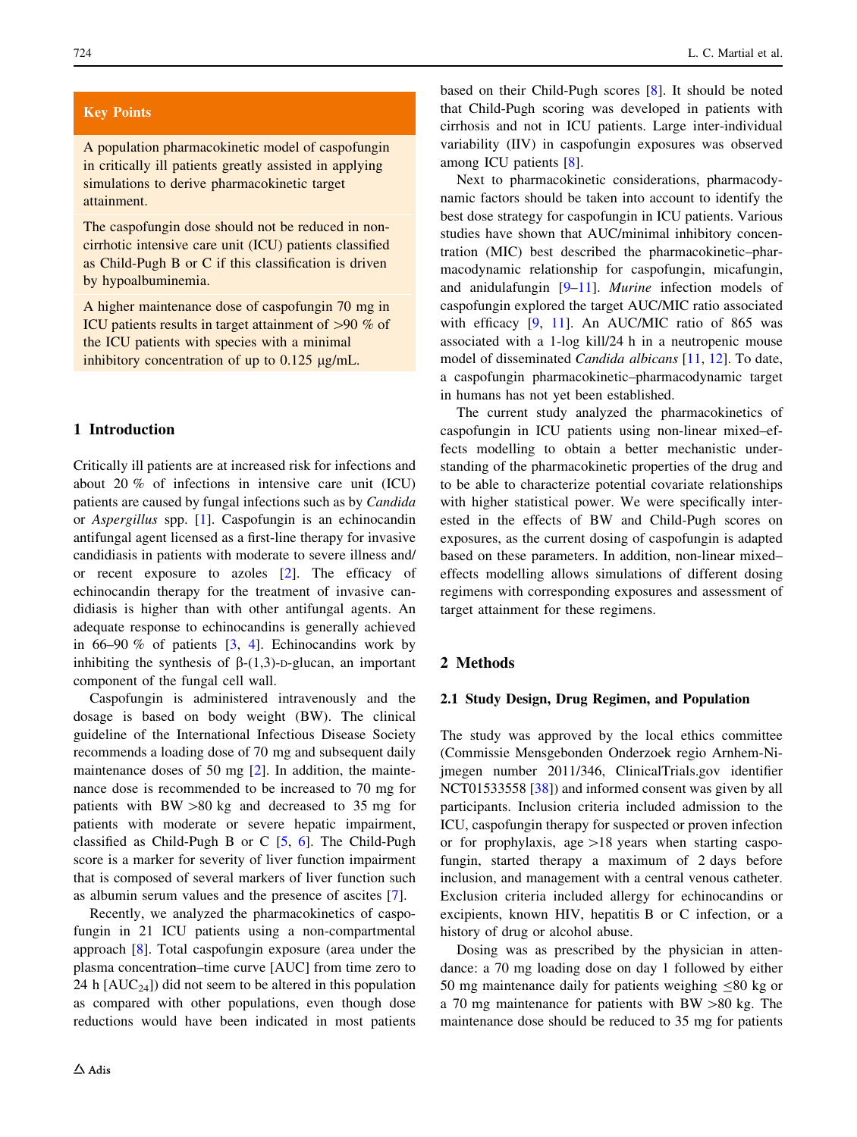## Key Points

A population pharmacokinetic model of caspofungin in critically ill patients greatly assisted in applying simulations to derive pharmacokinetic target attainment.

The caspofungin dose should not be reduced in noncirrhotic intensive care unit (ICU) patients classified as Child-Pugh B or C if this classification is driven by hypoalbuminemia.

A higher maintenance dose of caspofungin 70 mg in ICU patients results in target attainment of  $>90\%$  of the ICU patients with species with a minimal inhibitory concentration of up to  $0.125 \mu g/mL$ .

## 1 Introduction

Critically ill patients are at increased risk for infections and about 20 % of infections in intensive care unit (ICU) patients are caused by fungal infections such as by Candida or Aspergillus spp. [[1\]](#page-9-0). Caspofungin is an echinocandin antifungal agent licensed as a first-line therapy for invasive candidiasis in patients with moderate to severe illness and/ or recent exposure to azoles [[2\]](#page-9-0). The efficacy of echinocandin therapy for the treatment of invasive candidiasis is higher than with other antifungal agents. An adequate response to echinocandins is generally achieved in 66–90 % of patients  $[3, 4]$  $[3, 4]$  $[3, 4]$  $[3, 4]$ . Echinocandins work by inhibiting the synthesis of  $\beta$ -(1,3)-p-glucan, an important component of the fungal cell wall.

Caspofungin is administered intravenously and the dosage is based on body weight (BW). The clinical guideline of the International Infectious Disease Society recommends a loading dose of 70 mg and subsequent daily maintenance doses of 50 mg [[2\]](#page-9-0). In addition, the maintenance dose is recommended to be increased to 70 mg for patients with  $BW > 80$  kg and decreased to 35 mg for patients with moderate or severe hepatic impairment, classified as Child-Pugh B or C [\[5](#page-9-0), [6](#page-9-0)]. The Child-Pugh score is a marker for severity of liver function impairment that is composed of several markers of liver function such as albumin serum values and the presence of ascites [\[7](#page-9-0)].

Recently, we analyzed the pharmacokinetics of caspofungin in 21 ICU patients using a non-compartmental approach [[8\]](#page-9-0). Total caspofungin exposure (area under the plasma concentration–time curve [AUC] from time zero to 24 h  $[AUC_{24}]$  did not seem to be altered in this population as compared with other populations, even though dose reductions would have been indicated in most patients based on their Child-Pugh scores [\[8](#page-9-0)]. It should be noted that Child-Pugh scoring was developed in patients with cirrhosis and not in ICU patients. Large inter-individual variability (IIV) in caspofungin exposures was observed among ICU patients [\[8](#page-9-0)].

Next to pharmacokinetic considerations, pharmacodynamic factors should be taken into account to identify the best dose strategy for caspofungin in ICU patients. Various studies have shown that AUC/minimal inhibitory concentration (MIC) best described the pharmacokinetic–pharmacodynamic relationship for caspofungin, micafungin, and anidulafungin [[9–11\]](#page-9-0). Murine infection models of caspofungin explored the target AUC/MIC ratio associated with efficacy [\[9](#page-9-0), [11](#page-9-0)]. An AUC/MIC ratio of 865 was associated with a 1-log kill/24 h in a neutropenic mouse model of disseminated Candida albicans [[11,](#page-9-0) [12\]](#page-9-0). To date, a caspofungin pharmacokinetic–pharmacodynamic target in humans has not yet been established.

The current study analyzed the pharmacokinetics of caspofungin in ICU patients using non-linear mixed–effects modelling to obtain a better mechanistic understanding of the pharmacokinetic properties of the drug and to be able to characterize potential covariate relationships with higher statistical power. We were specifically interested in the effects of BW and Child-Pugh scores on exposures, as the current dosing of caspofungin is adapted based on these parameters. In addition, non-linear mixed– effects modelling allows simulations of different dosing regimens with corresponding exposures and assessment of target attainment for these regimens.

## 2 Methods

#### 2.1 Study Design, Drug Regimen, and Population

The study was approved by the local ethics committee (Commissie Mensgebonden Onderzoek regio Arnhem-Nijmegen number 2011/346, ClinicalTrials.gov identifier NCT01533558 [[38\]](#page-10-0)) and informed consent was given by all participants. Inclusion criteria included admission to the ICU, caspofungin therapy for suspected or proven infection or for prophylaxis, age  $>18$  years when starting caspofungin, started therapy a maximum of 2 days before inclusion, and management with a central venous catheter. Exclusion criteria included allergy for echinocandins or excipients, known HIV, hepatitis B or C infection, or a history of drug or alcohol abuse.

Dosing was as prescribed by the physician in attendance: a 70 mg loading dose on day 1 followed by either 50 mg maintenance daily for patients weighing  $\leq 80$  kg or a 70 mg maintenance for patients with  $BW > 80$  kg. The maintenance dose should be reduced to 35 mg for patients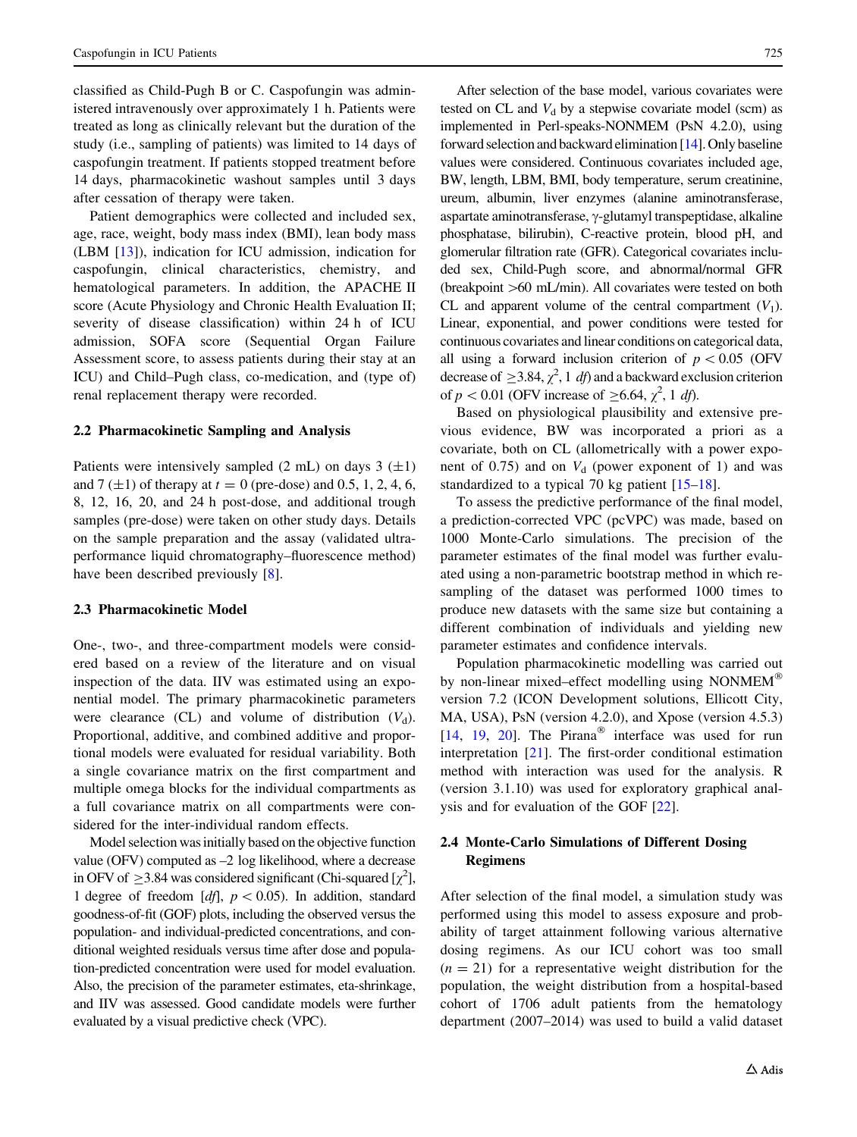classified as Child-Pugh B or C. Caspofungin was administered intravenously over approximately 1 h. Patients were treated as long as clinically relevant but the duration of the study (i.e., sampling of patients) was limited to 14 days of caspofungin treatment. If patients stopped treatment before 14 days, pharmacokinetic washout samples until 3 days after cessation of therapy were taken.

Patient demographics were collected and included sex, age, race, weight, body mass index (BMI), lean body mass (LBM [\[13](#page-9-0)]), indication for ICU admission, indication for caspofungin, clinical characteristics, chemistry, and hematological parameters. In addition, the APACHE II score (Acute Physiology and Chronic Health Evaluation II; severity of disease classification) within 24 h of ICU admission, SOFA score (Sequential Organ Failure Assessment score, to assess patients during their stay at an ICU) and Child–Pugh class, co-medication, and (type of) renal replacement therapy were recorded.

### 2.2 Pharmacokinetic Sampling and Analysis

Patients were intensively sampled  $(2 \text{ mL})$  on days  $3 (\pm 1)$ and 7 ( $\pm$ 1) of therapy at  $t = 0$  (pre-dose) and 0.5, 1, 2, 4, 6, 8, 12, 16, 20, and 24 h post-dose, and additional trough samples (pre-dose) were taken on other study days. Details on the sample preparation and the assay (validated ultraperformance liquid chromatography–fluorescence method) have been described previously [\[8](#page-9-0)].

### 2.3 Pharmacokinetic Model

One-, two-, and three-compartment models were considered based on a review of the literature and on visual inspection of the data. IIV was estimated using an exponential model. The primary pharmacokinetic parameters were clearance (CL) and volume of distribution  $(V_d)$ . Proportional, additive, and combined additive and proportional models were evaluated for residual variability. Both a single covariance matrix on the first compartment and multiple omega blocks for the individual compartments as a full covariance matrix on all compartments were considered for the inter-individual random effects.

Model selection was initially based on the objective function value (OFV) computed as –2 log likelihood, where a decrease in OFV of  $\geq$ 3.84 was considered significant (Chi-squared [ $\chi^2$ ], 1 degree of freedom [df],  $p < 0.05$ ). In addition, standard goodness-of-fit (GOF) plots, including the observed versus the population- and individual-predicted concentrations, and conditional weighted residuals versus time after dose and population-predicted concentration were used for model evaluation. Also, the precision of the parameter estimates, eta-shrinkage, and IIV was assessed. Good candidate models were further evaluated by a visual predictive check (VPC).

After selection of the base model, various covariates were tested on CL and  $V<sub>d</sub>$  by a stepwise covariate model (scm) as implemented in Perl-speaks-NONMEM (PsN 4.2.0), using forward selection and backward elimination [[14](#page-9-0)]. Only baseline values were considered. Continuous covariates included age, BW, length, LBM, BMI, body temperature, serum creatinine, ureum, albumin, liver enzymes (alanine aminotransferase, aspartate aminotransferase,  $\gamma$ -glutamyl transpeptidase, alkaline phosphatase, bilirubin), C-reactive protein, blood pH, and glomerular filtration rate (GFR). Categorical covariates included sex, Child-Pugh score, and abnormal/normal GFR (breakpoint  $>60$  mL/min). All covariates were tested on both CL and apparent volume of the central compartment  $(V_1)$ . Linear, exponential, and power conditions were tested for continuous covariates and linear conditions on categorical data, all using a forward inclusion criterion of  $p < 0.05$  (OFV) decrease of  $\geq$ 3.84,  $\chi^2$ , 1 *df*) and a backward exclusion criterion of  $p < 0.01$  (OFV increase of  $\geq 6.64$ ,  $\chi^2$ , 1 df).

Based on physiological plausibility and extensive previous evidence, BW was incorporated a priori as a covariate, both on CL (allometrically with a power exponent of 0.75) and on  $V_d$  (power exponent of 1) and was standardized to a typical 70 kg patient [\[15–18](#page-9-0)].

To assess the predictive performance of the final model, a prediction-corrected VPC (pcVPC) was made, based on 1000 Monte-Carlo simulations. The precision of the parameter estimates of the final model was further evaluated using a non-parametric bootstrap method in which resampling of the dataset was performed 1000 times to produce new datasets with the same size but containing a different combination of individuals and yielding new parameter estimates and confidence intervals.

Population pharmacokinetic modelling was carried out by non-linear mixed–effect modelling using NONMEM<sup>®</sup> version 7.2 (ICON Development solutions, Ellicott City, MA, USA), PsN (version 4.2.0), and Xpose (version 4.5.3) [\[14](#page-9-0), [19,](#page-9-0) [20](#page-9-0)]. The Pirana<sup>®</sup> interface was used for run interpretation [\[21](#page-9-0)]. The first-order conditional estimation method with interaction was used for the analysis. R (version 3.1.10) was used for exploratory graphical analysis and for evaluation of the GOF [[22\]](#page-9-0).

## 2.4 Monte-Carlo Simulations of Different Dosing Regimens

After selection of the final model, a simulation study was performed using this model to assess exposure and probability of target attainment following various alternative dosing regimens. As our ICU cohort was too small  $(n = 21)$  for a representative weight distribution for the population, the weight distribution from a hospital-based cohort of 1706 adult patients from the hematology department (2007–2014) was used to build a valid dataset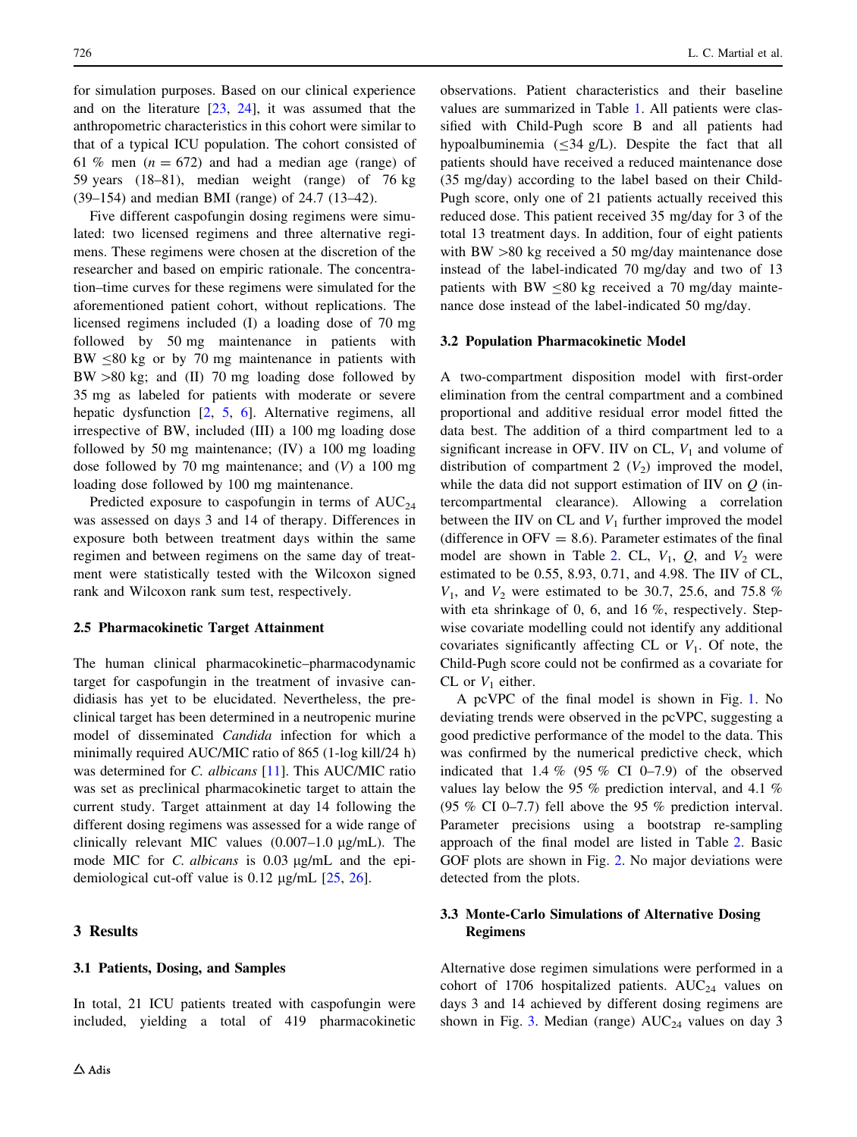for simulation purposes. Based on our clinical experience and on the literature [[23,](#page-9-0) [24](#page-9-0)], it was assumed that the anthropometric characteristics in this cohort were similar to that of a typical ICU population. The cohort consisted of 61 % men ( $n = 672$ ) and had a median age (range) of 59 years (18–81), median weight (range) of 76 kg (39–154) and median BMI (range) of 24.7 (13–42).

Five different caspofungin dosing regimens were simulated: two licensed regimens and three alternative regimens. These regimens were chosen at the discretion of the researcher and based on empiric rationale. The concentration–time curves for these regimens were simulated for the aforementioned patient cohort, without replications. The licensed regimens included (I) a loading dose of 70 mg followed by 50 mg maintenance in patients with  $BW < 80 \text{ kg}$  or by 70 mg maintenance in patients with  $BW > 80$  kg; and (II) 70 mg loading dose followed by 35 mg as labeled for patients with moderate or severe hepatic dysfunction [[2](#page-9-0), [5](#page-9-0), [6](#page-9-0)]. Alternative regimens, all irrespective of BW, included (III) a 100 mg loading dose followed by 50 mg maintenance; (IV) a 100 mg loading dose followed by 70 mg maintenance; and  $(V)$  a 100 mg loading dose followed by 100 mg maintenance.

Predicted exposure to caspofungin in terms of  $AUC_{24}$ was assessed on days 3 and 14 of therapy. Differences in exposure both between treatment days within the same regimen and between regimens on the same day of treatment were statistically tested with the Wilcoxon signed rank and Wilcoxon rank sum test, respectively.

#### 2.5 Pharmacokinetic Target Attainment

The human clinical pharmacokinetic–pharmacodynamic target for caspofungin in the treatment of invasive candidiasis has yet to be elucidated. Nevertheless, the preclinical target has been determined in a neutropenic murine model of disseminated Candida infection for which a minimally required AUC/MIC ratio of 865 (1-log kill/24 h) was determined for *C. albicans* [\[11](#page-9-0)]. This AUC/MIC ratio was set as preclinical pharmacokinetic target to attain the current study. Target attainment at day 14 following the different dosing regimens was assessed for a wide range of clinically relevant MIC values  $(0.007-1.0 \text{ µg/mL})$ . The mode MIC for C. albicans is  $0.03 \mu g/mL$  and the epidemiological cut-off value is  $0.12 \mu g/mL$  [[25,](#page-9-0) [26\]](#page-10-0).

## 3 Results

## 3.1 Patients, Dosing, and Samples

In total, 21 ICU patients treated with caspofungin were included, yielding a total of 419 pharmacokinetic observations. Patient characteristics and their baseline values are summarized in Table [1.](#page-4-0) All patients were classified with Child-Pugh score B and all patients had hypoalbuminemia ( $\leq$ 34 g/L). Despite the fact that all patients should have received a reduced maintenance dose (35 mg/day) according to the label based on their Child-Pugh score, only one of 21 patients actually received this reduced dose. This patient received 35 mg/day for 3 of the total 13 treatment days. In addition, four of eight patients with BW  $>80$  kg received a 50 mg/day maintenance dose instead of the label-indicated 70 mg/day and two of 13 patients with BW  $\leq 80$  kg received a 70 mg/day maintenance dose instead of the label-indicated 50 mg/day.

#### 3.2 Population Pharmacokinetic Model

A two-compartment disposition model with first-order elimination from the central compartment and a combined proportional and additive residual error model fitted the data best. The addition of a third compartment led to a significant increase in OFV. IIV on CL,  $V_1$  and volume of distribution of compartment 2  $(V_2)$  improved the model, while the data did not support estimation of IIV on  $Q$  (intercompartmental clearance). Allowing a correlation between the IIV on CL and  $V_1$  further improved the model (difference in  $OFV = 8.6$ ). Parameter estimates of the final model are shown in Table [2](#page-4-0). CL,  $V_1$ ,  $Q$ , and  $V_2$  were estimated to be 0.55, 8.93, 0.71, and 4.98. The IIV of CL,  $V_1$ , and  $V_2$  were estimated to be 30.7, 25.6, and 75.8 % with eta shrinkage of 0, 6, and 16 %, respectively. Stepwise covariate modelling could not identify any additional covariates significantly affecting CL or  $V_1$ . Of note, the Child-Pugh score could not be confirmed as a covariate for CL or  $V_1$  either.

A pcVPC of the final model is shown in Fig. [1.](#page-5-0) No deviating trends were observed in the pcVPC, suggesting a good predictive performance of the model to the data. This was confirmed by the numerical predictive check, which indicated that  $1.4\%$  (95 % CI 0–7.9) of the observed values lay below the 95 % prediction interval, and 4.1 % (95 % CI 0–7.7) fell above the 95 % prediction interval. Parameter precisions using a bootstrap re-sampling approach of the final model are listed in Table [2](#page-4-0). Basic GOF plots are shown in Fig. [2](#page-5-0). No major deviations were detected from the plots.

## 3.3 Monte-Carlo Simulations of Alternative Dosing Regimens

Alternative dose regimen simulations were performed in a cohort of 1706 hospitalized patients.  $AUC_{24}$  values on days 3 and 14 achieved by different dosing regimens are shown in Fig. [3.](#page-6-0) Median (range)  $AUC_{24}$  values on day 3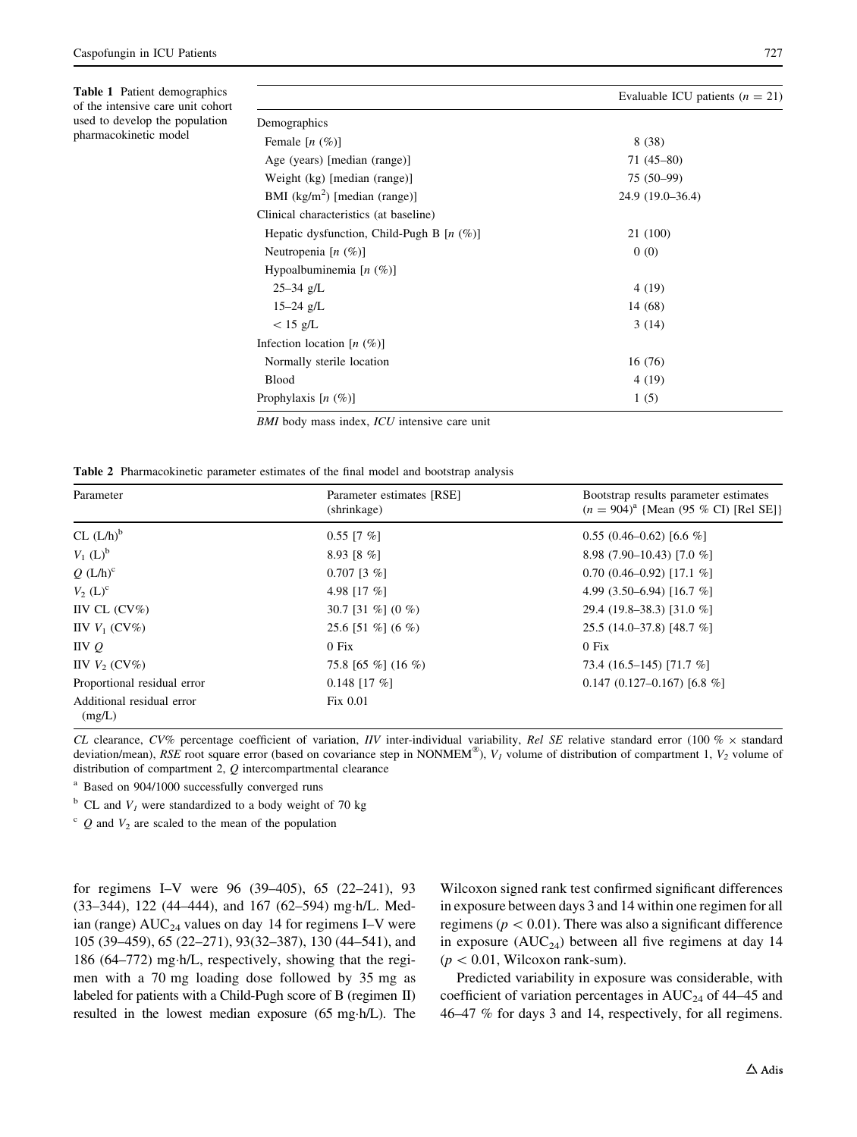<span id="page-4-0"></span>Table 1 Patient demographics of the intensive care unit cohort used to develop the population pharmacokinetic model

|                                              | Evaluable ICU patients $(n = 21)$ |  |  |
|----------------------------------------------|-----------------------------------|--|--|
| Demographics                                 |                                   |  |  |
| Female $[n \ (\%)]$                          | 8(38)                             |  |  |
| Age (years) [median (range)]                 | $71(45-80)$                       |  |  |
| Weight (kg) [median (range)]                 | 75 (50-99)                        |  |  |
| BMI $(kg/m2)$ [median (range)]               | 24.9 (19.0–36.4)                  |  |  |
| Clinical characteristics (at baseline)       |                                   |  |  |
| Hepatic dysfunction, Child-Pugh B $[n (\%)]$ | 21 (100)                          |  |  |
| Neutropenia $[n (\%)]$                       | 0(0)                              |  |  |
| Hypoalbuminemia $[n \ (\%)]$                 |                                   |  |  |
| $25 - 34$ g/L                                | 4(19)                             |  |  |
| $15 - 24$ g/L                                | 14 (68)                           |  |  |
| $< 15$ g/L                                   | 3(14)                             |  |  |
| Infection location $[n \ (\%)]$              |                                   |  |  |
| Normally sterile location                    | 16(76)                            |  |  |
| <b>Blood</b>                                 | 4 (19)                            |  |  |
| Prophylaxis $[n (\%)]$                       | 1(5)                              |  |  |

BMI body mass index, ICU intensive care unit

Table 2 Pharmacokinetic parameter estimates of the final model and bootstrap analysis

| Parameter                           | Parameter estimates [RSE]<br>(shrinkage) | Bootstrap results parameter estimates<br>$(n = 904)^{a}$ {Mean (95 % CI) [Rel SE]} |
|-------------------------------------|------------------------------------------|------------------------------------------------------------------------------------|
| CL (L/h) <sup>b</sup>               | $0.55$ [7 %]                             | $0.55(0.46-0.62)[6.6%]$                                                            |
| $V_1$ (L) <sup>b</sup>              | $8.93$ [8 %]                             | 8.98 (7.90–10.43) [7.0 %]                                                          |
| $Q(L/h)^c$                          | $0.707$ [3 %]                            | $0.70(0.46 - 0.92)[17.1%$                                                          |
| $V_2$ (L) <sup>c</sup>              | 4.98 [17 $%$ ]                           | 4.99 $(3.50-6.94)$ [16.7 %]                                                        |
| IIV CL $(CV\%)$                     | 30.7 [31 %] $(0 \%)$                     | 29.4 (19.8–38.3) [31.0 %]                                                          |
| IIV $V_1$ (CV%)                     | 25.6 [51 %] (6 %)                        | $25.5(14.0-37.8)[48.7%]$                                                           |
| IVQ                                 | $0$ Fix                                  | $0$ Fix                                                                            |
| IIV $V_2$ (CV%)                     | 75.8 [65 %] (16 %)                       | 73.4 (16.5–145) [71.7 %]                                                           |
| Proportional residual error         | $0.148$ [17 %]                           | $0.147(0.127-0.167)$ [6.8 %]                                                       |
| Additional residual error<br>(mg/L) | Fix~0.01                                 |                                                                                    |

CL clearance, CV% percentage coefficient of variation, IIV inter-individual variability, Rel SE relative standard error (100 %  $\times$  standard deviation/mean), RSE root square error (based on covariance step in NONMEM®),  $V<sub>I</sub>$  volume of distribution of compartment 1,  $V<sub>2</sub>$  volume of distribution of compartment 2, Q intercompartmental clearance

<sup>a</sup> Based on 904/1000 successfully converged runs

 $b$  CL and  $V_1$  were standardized to a body weight of 70 kg

 $c$  Q and  $V_2$  are scaled to the mean of the population

for regimens I–V were 96 (39–405), 65 (22–241), 93 (33–344), 122 (44–444), and 167 (62–594) mg-h/L. Median (range)  $AUC_{24}$  values on day 14 for regimens I–V were 105 (39–459), 65 (22–271), 93(32–387), 130 (44–541), and 186 (64–772) mg-h/L, respectively, showing that the regimen with a 70 mg loading dose followed by 35 mg as labeled for patients with a Child-Pugh score of B (regimen II) resulted in the lowest median exposure (65 mg-h/L). The

Wilcoxon signed rank test confirmed significant differences in exposure between days 3 and 14 within one regimen for all regimens ( $p < 0.01$ ). There was also a significant difference in exposure ( $AUC_{24}$ ) between all five regimens at day 14  $(p<0.01,$  Wilcoxon rank-sum).

Predicted variability in exposure was considerable, with coefficient of variation percentages in  $AUC_{24}$  of 44–45 and 46–47 % for days 3 and 14, respectively, for all regimens.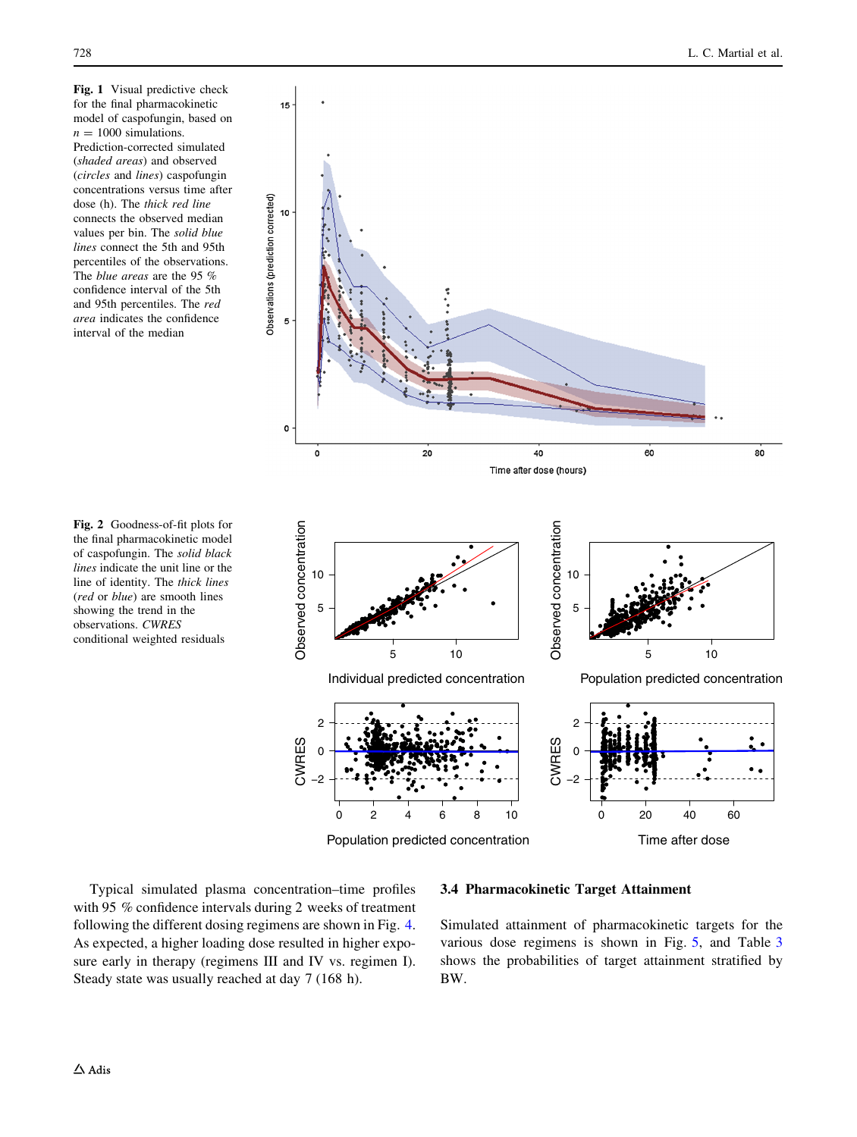<span id="page-5-0"></span>Fig. 1 Visual predictive check for the final pharmacokinetic model of caspofungin, based on  $n = 1000$  simulations. Prediction-corrected simulated (shaded areas) and observed (circles and lines) caspofungin concentrations versus time after dose (h). The thick red line connects the observed median values per bin. The solid blue lines connect the 5th and 95th percentiles of the observations. The blue areas are the 95 % confidence interval of the 5th and 95th percentiles. The red area indicates the confidence interval of the median

Fig. 2 Goodness-of-fit plots for the final pharmacokinetic model of caspofungin. The solid black lines indicate the unit line or the line of identity. The thick lines (red or blue) are smooth lines showing the trend in the observations. CWRES conditional weighted residuals



Population predicted concentration

Time after dose

Typical simulated plasma concentration–time profiles with 95 % confidence intervals during 2 weeks of treatment following the different dosing regimens are shown in Fig. [4.](#page-7-0) As expected, a higher loading dose resulted in higher exposure early in therapy (regimens III and IV vs. regimen I). Steady state was usually reached at day 7 (168 h).

## 3.4 Pharmacokinetic Target Attainment

Simulated attainment of pharmacokinetic targets for the various dose regimens is shown in Fig. [5,](#page-7-0) and Table [3](#page-8-0) shows the probabilities of target attainment stratified by BW.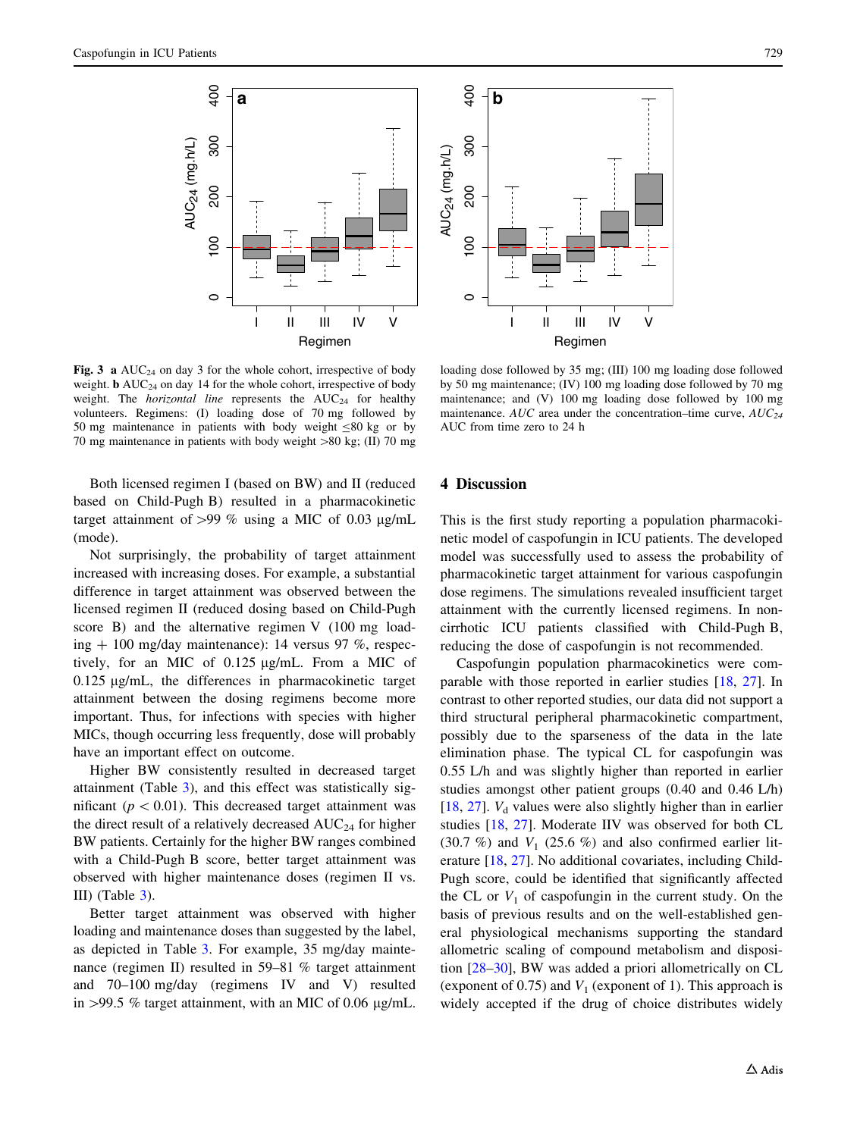<span id="page-6-0"></span>



Fig. 3 a  $AUC_{24}$  on day 3 for the whole cohort, irrespective of body weight.  $\mathbf{b}$  AUC<sub>24</sub> on day 14 for the whole cohort, irrespective of body weight. The *horizontal line* represents the  $AUC_{24}$  for healthy volunteers. Regimens: (I) loading dose of 70 mg followed by 50 mg maintenance in patients with body weight  $\leq 80$  kg or by 70 mg maintenance in patients with body weight  $>80$  kg; (II) 70 mg

loading dose followed by 35 mg; (III) 100 mg loading dose followed by 50 mg maintenance; (IV) 100 mg loading dose followed by 70 mg maintenance; and (V) 100 mg loading dose followed by 100 mg maintenance. AUC area under the concentration–time curve,  $AUC_{24}$ AUC from time zero to 24 h

Both licensed regimen I (based on BW) and II (reduced based on Child-Pugh B) resulted in a pharmacokinetic target attainment of  $>99\%$  using a MIC of 0.03 µg/mL (mode).

Not surprisingly, the probability of target attainment increased with increasing doses. For example, a substantial difference in target attainment was observed between the licensed regimen II (reduced dosing based on Child-Pugh score B) and the alternative regimen V (100 mg loading  $+100$  mg/day maintenance): 14 versus 97 %, respectively, for an MIC of  $0.125 \mu g/mL$ . From a MIC of  $0.125 \mu g/mL$ , the differences in pharmacokinetic target attainment between the dosing regimens become more important. Thus, for infections with species with higher MICs, though occurring less frequently, dose will probably have an important effect on outcome.

Higher BW consistently resulted in decreased target attainment (Table [3\)](#page-8-0), and this effect was statistically significant ( $p < 0.01$ ). This decreased target attainment was the direct result of a relatively decreased  $AUC_{24}$  for higher BW patients. Certainly for the higher BW ranges combined with a Child-Pugh B score, better target attainment was observed with higher maintenance doses (regimen II vs. III) (Table [3](#page-8-0)).

Better target attainment was observed with higher loading and maintenance doses than suggested by the label, as depicted in Table [3](#page-8-0). For example, 35 mg/day maintenance (regimen II) resulted in 59–81 % target attainment and 70–100 mg/day (regimens IV and V) resulted in  $>99.5$  % target attainment, with an MIC of 0.06 µg/mL.

## 4 Discussion

This is the first study reporting a population pharmacokinetic model of caspofungin in ICU patients. The developed model was successfully used to assess the probability of pharmacokinetic target attainment for various caspofungin dose regimens. The simulations revealed insufficient target attainment with the currently licensed regimens. In noncirrhotic ICU patients classified with Child-Pugh B, reducing the dose of caspofungin is not recommended.

Caspofungin population pharmacokinetics were comparable with those reported in earlier studies [[18,](#page-9-0) [27](#page-10-0)]. In contrast to other reported studies, our data did not support a third structural peripheral pharmacokinetic compartment, possibly due to the sparseness of the data in the late elimination phase. The typical CL for caspofungin was 0.55 L/h and was slightly higher than reported in earlier studies amongst other patient groups (0.40 and 0.46 L/h) [\[18](#page-9-0), [27\]](#page-10-0).  $V_d$  values were also slightly higher than in earlier studies [[18,](#page-9-0) [27\]](#page-10-0). Moderate IIV was observed for both CL (30.7 %) and  $V_1$  (25.6 %) and also confirmed earlier literature [\[18](#page-9-0), [27](#page-10-0)]. No additional covariates, including Child-Pugh score, could be identified that significantly affected the CL or  $V_1$  of caspofungin in the current study. On the basis of previous results and on the well-established general physiological mechanisms supporting the standard allometric scaling of compound metabolism and disposition [\[28–30](#page-10-0)], BW was added a priori allometrically on CL (exponent of 0.75) and  $V_1$  (exponent of 1). This approach is widely accepted if the drug of choice distributes widely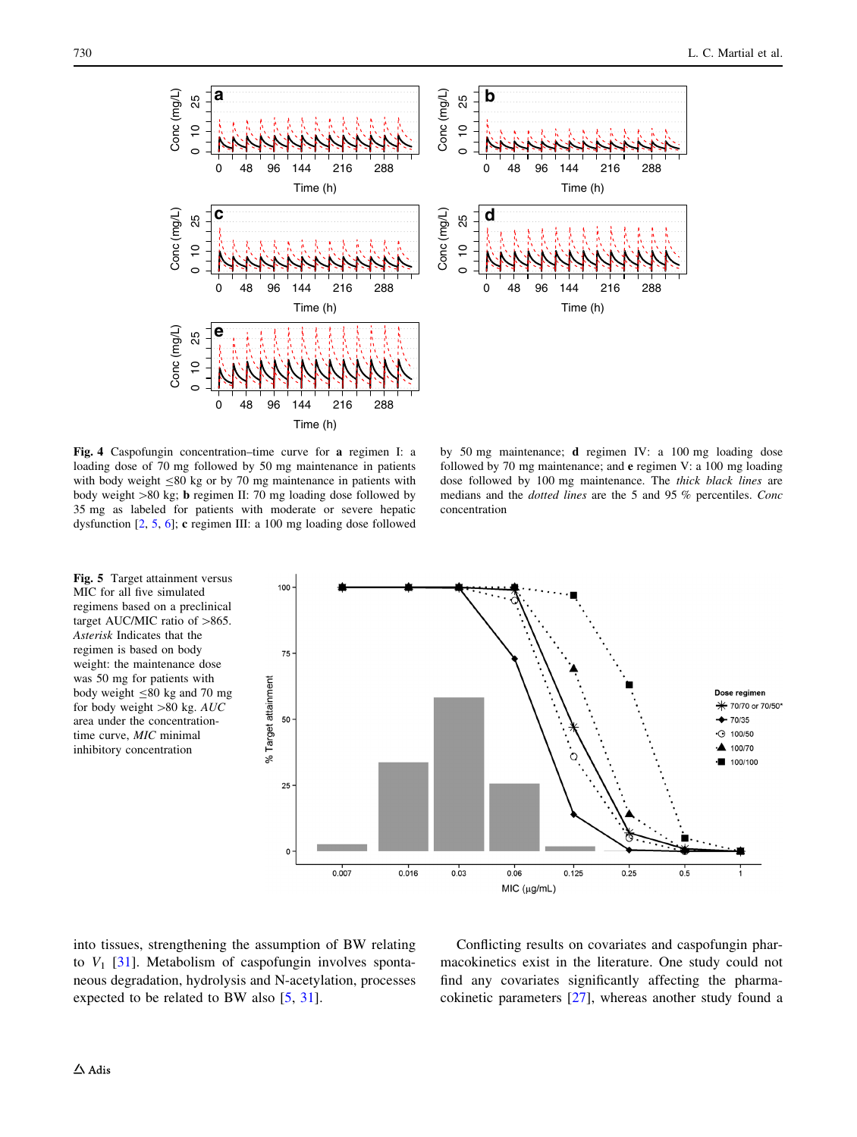<span id="page-7-0"></span>

Fig. 4 Caspofungin concentration–time curve for a regimen I: a loading dose of 70 mg followed by 50 mg maintenance in patients with body weight  $\leq 80$  kg or by 70 mg maintenance in patients with body weight  $>80$  kg; b regimen II: 70 mg loading dose followed by 35 mg as labeled for patients with moderate or severe hepatic dysfunction [[2,](#page-9-0) [5,](#page-9-0) [6\]](#page-9-0); c regimen III: a 100 mg loading dose followed

Fig. 5 Target attainment versus MIC for all five simulated regimens based on a preclinical target AUC/MIC ratio of  $>865$ . Asterisk Indicates that the regimen is based on body weight: the maintenance dose was 50 mg for patients with body weight  $\leq 80$  kg and 70 mg for body weight  $>80$  kg. AUC area under the concentrationtime curve, MIC minimal inhibitory concentration

by 50 mg maintenance; d regimen IV: a 100 mg loading dose followed by 70 mg maintenance; and e regimen V: a 100 mg loading dose followed by 100 mg maintenance. The thick black lines are medians and the dotted lines are the 5 and 95 % percentiles. Conc concentration



into tissues, strengthening the assumption of BW relating to  $V_1$  [\[31](#page-10-0)]. Metabolism of caspofungin involves spontaneous degradation, hydrolysis and N-acetylation, processes expected to be related to BW also [[5,](#page-9-0) [31\]](#page-10-0).

Conflicting results on covariates and caspofungin pharmacokinetics exist in the literature. One study could not find any covariates significantly affecting the pharmacokinetic parameters [[27\]](#page-10-0), whereas another study found a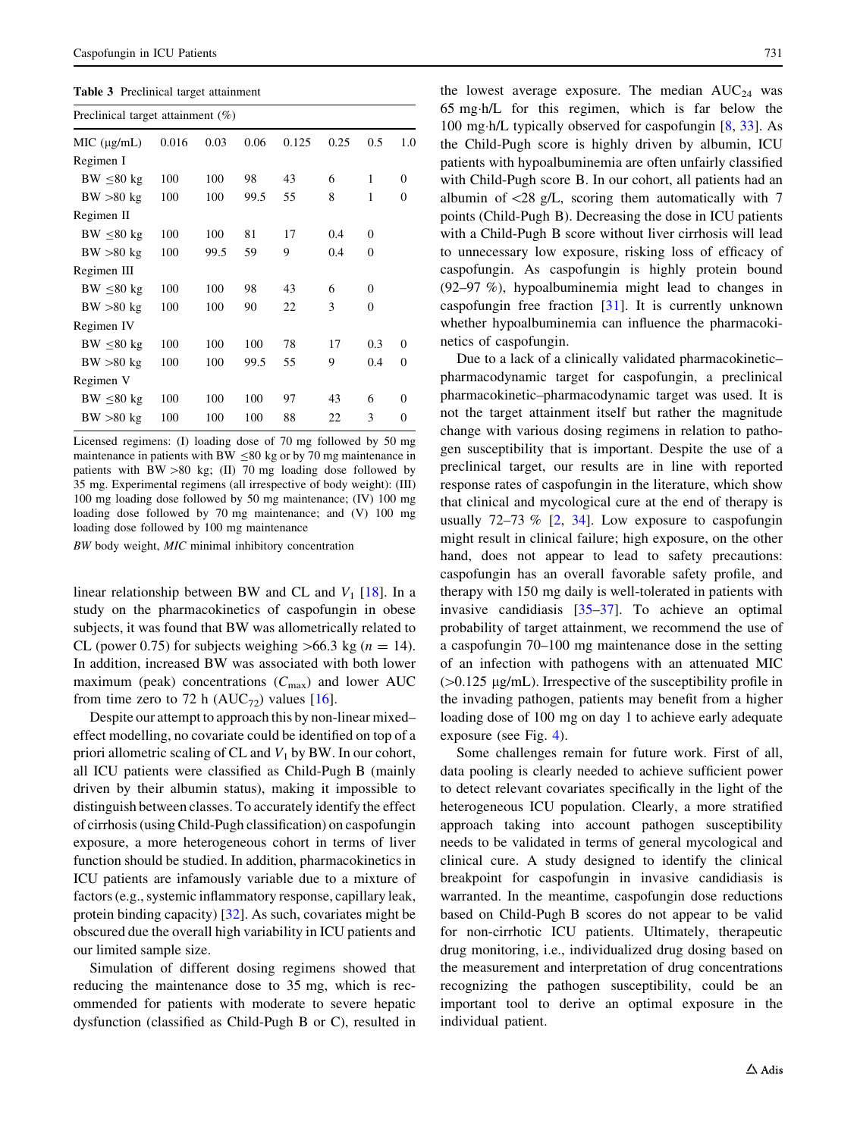<span id="page-8-0"></span>

|  | Table 3 Preclinical target attainment |
|--|---------------------------------------|
|--|---------------------------------------|

| Preclinical target attainment $(\%)$ |       |      |      |       |      |          |                |  |  |
|--------------------------------------|-------|------|------|-------|------|----------|----------------|--|--|
| MIC (µg/mL)                          | 0.016 | 0.03 | 0.06 | 0.125 | 0.25 | 0.5      | 1.0            |  |  |
| Regimen I                            |       |      |      |       |      |          |                |  |  |
| $BW \leq 80 kg$                      | 100   | 100  | 98   | 43    | 6    | 1        | $\theta$       |  |  |
| BW > 80 kg                           | 100   | 100  | 99.5 | 55    | 8    | 1        | $\theta$       |  |  |
| Regimen II                           |       |      |      |       |      |          |                |  |  |
| $BW \leq 80 kg$                      | 100   | 100  | 81   | 17    | 0.4  | $\Omega$ |                |  |  |
| BW > 80 kg                           | 100   | 99.5 | 59   | 9     | 0.4  | $\Omega$ |                |  |  |
| Regimen III                          |       |      |      |       |      |          |                |  |  |
| $BW \leq 80 kg$                      | 100   | 100  | 98   | 43    | 6    | $\Omega$ |                |  |  |
| BW > 80 kg                           | 100   | 100  | 90   | 22    | 3    | $\Omega$ |                |  |  |
| Regimen IV                           |       |      |      |       |      |          |                |  |  |
| $BW \leq 80 kg$                      | 100   | 100  | 100  | 78    | 17   | 0.3      | $\theta$       |  |  |
| BW > 80 kg                           | 100   | 100  | 99.5 | 55    | 9    | 0.4      | $\overline{0}$ |  |  |
| Regimen V                            |       |      |      |       |      |          |                |  |  |
| $BW \leq 80 kg$                      | 100   | 100  | 100  | 97    | 43   | 6        | $\theta$       |  |  |
| BW > 80 kg                           | 100   | 100  | 100  | 88    | 22   | 3        | $\theta$       |  |  |
|                                      |       |      |      |       |      |          |                |  |  |

Licensed regimens: (I) loading dose of 70 mg followed by 50 mg maintenance in patients with BW  $\leq$ 80 kg or by 70 mg maintenance in patients with  $BW > 80$  kg; (II) 70 mg loading dose followed by 35 mg. Experimental regimens (all irrespective of body weight): (III) 100 mg loading dose followed by 50 mg maintenance; (IV) 100 mg loading dose followed by 70 mg maintenance; and (V) 100 mg loading dose followed by 100 mg maintenance

BW body weight, MIC minimal inhibitory concentration

linear relationship between BW and CL and  $V_1$  [[18\]](#page-9-0). In a study on the pharmacokinetics of caspofungin in obese subjects, it was found that BW was allometrically related to CL (power 0.75) for subjects weighing  $>66.3$  kg (n = 14). In addition, increased BW was associated with both lower maximum (peak) concentrations  $(C_{\text{max}})$  and lower AUC from time zero to 72 h ( $AUC_{72}$ ) values [[16\]](#page-9-0).

Despite our attempt to approach this by non-linear mixed– effect modelling, no covariate could be identified on top of a priori allometric scaling of CL and  $V_1$  by BW. In our cohort, all ICU patients were classified as Child-Pugh B (mainly driven by their albumin status), making it impossible to distinguish between classes. To accurately identify the effect of cirrhosis (using Child-Pugh classification) on caspofungin exposure, a more heterogeneous cohort in terms of liver function should be studied. In addition, pharmacokinetics in ICU patients are infamously variable due to a mixture of factors (e.g., systemic inflammatory response, capillary leak, protein binding capacity) [[32\]](#page-10-0). As such, covariates might be obscured due the overall high variability in ICU patients and our limited sample size.

Simulation of different dosing regimens showed that reducing the maintenance dose to 35 mg, which is recommended for patients with moderate to severe hepatic dysfunction (classified as Child-Pugh B or C), resulted in

the lowest average exposure. The median  $AUC_{24}$  was 65 mg-h/L for this regimen, which is far below the 100 mg-h/L typically observed for caspofungin [[8,](#page-9-0) [33](#page-10-0)]. As the Child-Pugh score is highly driven by albumin, ICU patients with hypoalbuminemia are often unfairly classified with Child-Pugh score B. In our cohort, all patients had an albumin of  $\langle 28 \text{ g/L} \rangle$ , scoring them automatically with 7 points (Child-Pugh B). Decreasing the dose in ICU patients with a Child-Pugh B score without liver cirrhosis will lead to unnecessary low exposure, risking loss of efficacy of caspofungin. As caspofungin is highly protein bound (92–97 %), hypoalbuminemia might lead to changes in caspofungin free fraction [\[31](#page-10-0)]. It is currently unknown whether hypoalbuminemia can influence the pharmacokinetics of caspofungin.

Due to a lack of a clinically validated pharmacokinetic– pharmacodynamic target for caspofungin, a preclinical pharmacokinetic–pharmacodynamic target was used. It is not the target attainment itself but rather the magnitude change with various dosing regimens in relation to pathogen susceptibility that is important. Despite the use of a preclinical target, our results are in line with reported response rates of caspofungin in the literature, which show that clinical and mycological cure at the end of therapy is usually  $72-73$  %  $[2, 34]$  $[2, 34]$  $[2, 34]$  $[2, 34]$  $[2, 34]$ . Low exposure to caspofungin might result in clinical failure; high exposure, on the other hand, does not appear to lead to safety precautions: caspofungin has an overall favorable safety profile, and therapy with 150 mg daily is well-tolerated in patients with invasive candidiasis [\[35–37](#page-10-0)]. To achieve an optimal probability of target attainment, we recommend the use of a caspofungin 70–100 mg maintenance dose in the setting of an infection with pathogens with an attenuated MIC  $(0.125 \mu g/mL)$ . Irrespective of the susceptibility profile in the invading pathogen, patients may benefit from a higher loading dose of 100 mg on day 1 to achieve early adequate exposure (see Fig. [4](#page-7-0)).

Some challenges remain for future work. First of all, data pooling is clearly needed to achieve sufficient power to detect relevant covariates specifically in the light of the heterogeneous ICU population. Clearly, a more stratified approach taking into account pathogen susceptibility needs to be validated in terms of general mycological and clinical cure. A study designed to identify the clinical breakpoint for caspofungin in invasive candidiasis is warranted. In the meantime, caspofungin dose reductions based on Child-Pugh B scores do not appear to be valid for non-cirrhotic ICU patients. Ultimately, therapeutic drug monitoring, i.e., individualized drug dosing based on the measurement and interpretation of drug concentrations recognizing the pathogen susceptibility, could be an important tool to derive an optimal exposure in the individual patient.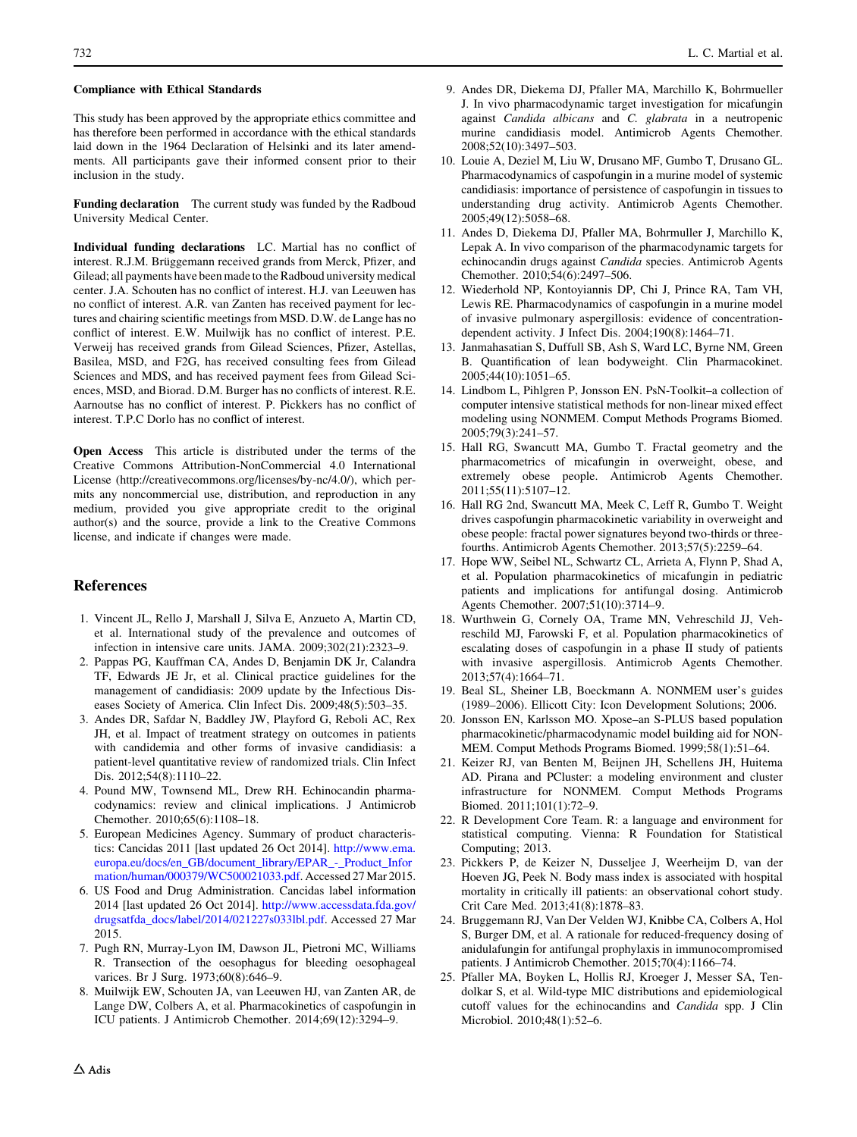#### <span id="page-9-0"></span>Compliance with Ethical Standards

This study has been approved by the appropriate ethics committee and has therefore been performed in accordance with the ethical standards laid down in the 1964 Declaration of Helsinki and its later amendments. All participants gave their informed consent prior to their inclusion in the study.

Funding declaration The current study was funded by the Radboud University Medical Center.

Individual funding declarations LC. Martial has no conflict of interest. R.J.M. Brüggemann received grands from Merck, Pfizer, and Gilead; all payments have been made to the Radboud university medical center. J.A. Schouten has no conflict of interest. H.J. van Leeuwen has no conflict of interest. A.R. van Zanten has received payment for lectures and chairing scientific meetings from MSD. D.W. de Lange has no conflict of interest. E.W. Muilwijk has no conflict of interest. P.E. Verweij has received grands from Gilead Sciences, Pfizer, Astellas, Basilea, MSD, and F2G, has received consulting fees from Gilead Sciences and MDS, and has received payment fees from Gilead Sciences, MSD, and Biorad. D.M. Burger has no conflicts of interest. R.E. Aarnoutse has no conflict of interest. P. Pickkers has no conflict of interest. T.P.C Dorlo has no conflict of interest.

Open Access This article is distributed under the terms of the Creative Commons Attribution-NonCommercial 4.0 International License (http://creativecommons.org/licenses/by-nc/4.0/), which permits any noncommercial use, distribution, and reproduction in any medium, provided you give appropriate credit to the original author(s) and the source, provide a link to the Creative Commons license, and indicate if changes were made.

## References

- 1. Vincent JL, Rello J, Marshall J, Silva E, Anzueto A, Martin CD, et al. International study of the prevalence and outcomes of infection in intensive care units. JAMA. 2009;302(21):2323–9.
- 2. Pappas PG, Kauffman CA, Andes D, Benjamin DK Jr, Calandra TF, Edwards JE Jr, et al. Clinical practice guidelines for the management of candidiasis: 2009 update by the Infectious Diseases Society of America. Clin Infect Dis. 2009;48(5):503–35.
- 3. Andes DR, Safdar N, Baddley JW, Playford G, Reboli AC, Rex JH, et al. Impact of treatment strategy on outcomes in patients with candidemia and other forms of invasive candidiasis: a patient-level quantitative review of randomized trials. Clin Infect Dis. 2012;54(8):1110–22.
- 4. Pound MW, Townsend ML, Drew RH. Echinocandin pharmacodynamics: review and clinical implications. J Antimicrob Chemother. 2010;65(6):1108–18.
- 5. European Medicines Agency. Summary of product characteristics: Cancidas 2011 [last updated 26 Oct 2014]. [http://www.ema.](http://www.ema.europa.eu/docs/en_GB/document_library/EPAR_-_Product_Information/human/000379/WC500021033.pdf) [europa.eu/docs/en\\_GB/document\\_library/EPAR\\_-\\_Product\\_Infor](http://www.ema.europa.eu/docs/en_GB/document_library/EPAR_-_Product_Information/human/000379/WC500021033.pdf) [mation/human/000379/WC500021033.pdf.](http://www.ema.europa.eu/docs/en_GB/document_library/EPAR_-_Product_Information/human/000379/WC500021033.pdf) Accessed 27 Mar 2015.
- 6. US Food and Drug Administration. Cancidas label information 2014 [last updated 26 Oct 2014]. [http://www.accessdata.fda.gov/](http://www.accessdata.fda.gov/drugsatfda_docs/label/2014/021227s033lbl.pdf) [drugsatfda\\_docs/label/2014/021227s033lbl.pdf.](http://www.accessdata.fda.gov/drugsatfda_docs/label/2014/021227s033lbl.pdf) Accessed 27 Mar 2015.
- 7. Pugh RN, Murray-Lyon IM, Dawson JL, Pietroni MC, Williams R. Transection of the oesophagus for bleeding oesophageal varices. Br J Surg. 1973;60(8):646-9.
- 8. Muilwijk EW, Schouten JA, van Leeuwen HJ, van Zanten AR, de Lange DW, Colbers A, et al. Pharmacokinetics of caspofungin in ICU patients. J Antimicrob Chemother. 2014;69(12):3294–9.
- 9. Andes DR, Diekema DJ, Pfaller MA, Marchillo K, Bohrmueller J. In vivo pharmacodynamic target investigation for micafungin against Candida albicans and C. glabrata in a neutropenic murine candidiasis model. Antimicrob Agents Chemother. 2008;52(10):3497–503.
- 10. Louie A, Deziel M, Liu W, Drusano MF, Gumbo T, Drusano GL. Pharmacodynamics of caspofungin in a murine model of systemic candidiasis: importance of persistence of caspofungin in tissues to understanding drug activity. Antimicrob Agents Chemother. 2005;49(12):5058–68.
- 11. Andes D, Diekema DJ, Pfaller MA, Bohrmuller J, Marchillo K, Lepak A. In vivo comparison of the pharmacodynamic targets for echinocandin drugs against Candida species. Antimicrob Agents Chemother. 2010;54(6):2497–506.
- 12. Wiederhold NP, Kontoyiannis DP, Chi J, Prince RA, Tam VH, Lewis RE. Pharmacodynamics of caspofungin in a murine model of invasive pulmonary aspergillosis: evidence of concentrationdependent activity. J Infect Dis. 2004;190(8):1464–71.
- 13. Janmahasatian S, Duffull SB, Ash S, Ward LC, Byrne NM, Green B. Quantification of lean bodyweight. Clin Pharmacokinet. 2005;44(10):1051–65.
- 14. Lindbom L, Pihlgren P, Jonsson EN. PsN-Toolkit–a collection of computer intensive statistical methods for non-linear mixed effect modeling using NONMEM. Comput Methods Programs Biomed. 2005;79(3):241–57.
- 15. Hall RG, Swancutt MA, Gumbo T. Fractal geometry and the pharmacometrics of micafungin in overweight, obese, and extremely obese people. Antimicrob Agents Chemother. 2011;55(11):5107–12.
- 16. Hall RG 2nd, Swancutt MA, Meek C, Leff R, Gumbo T. Weight drives caspofungin pharmacokinetic variability in overweight and obese people: fractal power signatures beyond two-thirds or threefourths. Antimicrob Agents Chemother. 2013;57(5):2259–64.
- 17. Hope WW, Seibel NL, Schwartz CL, Arrieta A, Flynn P, Shad A, et al. Population pharmacokinetics of micafungin in pediatric patients and implications for antifungal dosing. Antimicrob Agents Chemother. 2007;51(10):3714–9.
- 18. Wurthwein G, Cornely OA, Trame MN, Vehreschild JJ, Vehreschild MJ, Farowski F, et al. Population pharmacokinetics of escalating doses of caspofungin in a phase II study of patients with invasive aspergillosis. Antimicrob Agents Chemother. 2013;57(4):1664–71.
- 19. Beal SL, Sheiner LB, Boeckmann A. NONMEM user's guides (1989–2006). Ellicott City: Icon Development Solutions; 2006.
- 20. Jonsson EN, Karlsson MO. Xpose–an S-PLUS based population pharmacokinetic/pharmacodynamic model building aid for NON-MEM. Comput Methods Programs Biomed. 1999;58(1):51–64.
- 21. Keizer RJ, van Benten M, Beijnen JH, Schellens JH, Huitema AD. Pirana and PCluster: a modeling environment and cluster infrastructure for NONMEM. Comput Methods Programs Biomed. 2011;101(1):72–9.
- 22. R Development Core Team. R: a language and environment for statistical computing. Vienna: R Foundation for Statistical Computing; 2013.
- 23. Pickkers P, de Keizer N, Dusseljee J, Weerheijm D, van der Hoeven JG, Peek N. Body mass index is associated with hospital mortality in critically ill patients: an observational cohort study. Crit Care Med. 2013;41(8):1878–83.
- 24. Bruggemann RJ, Van Der Velden WJ, Knibbe CA, Colbers A, Hol S, Burger DM, et al. A rationale for reduced-frequency dosing of anidulafungin for antifungal prophylaxis in immunocompromised patients. J Antimicrob Chemother. 2015;70(4):1166–74.
- 25. Pfaller MA, Boyken L, Hollis RJ, Kroeger J, Messer SA, Tendolkar S, et al. Wild-type MIC distributions and epidemiological cutoff values for the echinocandins and Candida spp. J Clin Microbiol. 2010;48(1):52–6.